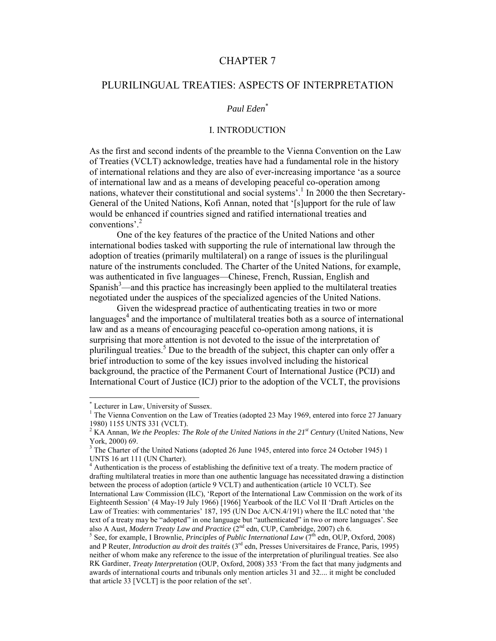# CHAPTER 7

# PLURILINGUAL TREATIES: ASPECTS OF INTERPRETATION

## *Paul Eden*\*

## I. INTRODUCTION

As the first and second indents of the preamble to the Vienna Convention on the Law of Treaties (VCLT) acknowledge, treaties have had a fundamental role in the history of international relations and they are also of ever-increasing importance 'as a source of international law and as a means of developing peaceful co-operation among nations, whatever their constitutional and social systems'.<sup>1</sup> In 2000 the then Secretary-General of the United Nations, Kofi Annan, noted that '[s]upport for the rule of law would be enhanced if countries signed and ratified international treaties and conventions'.<sup>2</sup>

One of the key features of the practice of the United Nations and other international bodies tasked with supporting the rule of international law through the adoption of treaties (primarily multilateral) on a range of issues is the plurilingual nature of the instruments concluded. The Charter of the United Nations, for example, was authenticated in five languages—Chinese, French, Russian, English and Spanish<sup>3</sup>—and this practice has increasingly been applied to the multilateral treaties negotiated under the auspices of the specialized agencies of the United Nations.

Given the widespread practice of authenticating treaties in two or more languages $4$  and the importance of multilateral treaties both as a source of international law and as a means of encouraging peaceful co-operation among nations, it is surprising that more attention is not devoted to the issue of the interpretation of plurilingual treaties.<sup>5</sup> Due to the breadth of the subject, this chapter can only offer a brief introduction to some of the key issues involved including the historical background, the practice of the Permanent Court of International Justice (PCIJ) and International Court of Justice (ICJ) prior to the adoption of the VCLT, the provisions

<sup>\*</sup> Lecturer in Law, University of Sussex.

<sup>&</sup>lt;sup>1</sup> The Vienna Convention on the Law of Treaties (adopted 23 May 1969, entered into force 27 January 1980) 1155 UNTS 331 (VCLT).

<sup>&</sup>lt;sup>2</sup> KA Annan, *We the Peoples: The Role of the United Nations in the 21<sup>st</sup> Century (United Nations, New* York, 2000) 69.

<sup>&</sup>lt;sup>3</sup> The Charter of the United Nations (adopted 26 June 1945, entered into force 24 October 1945) 1 UNTS 16 art 111 (UN Charter).

<sup>4</sup> Authentication is the process of establishing the definitive text of a treaty. The modern practice of drafting multilateral treaties in more than one authentic language has necessitated drawing a distinction between the process of adoption (article 9 VCLT) and authentication (article 10 VCLT). See International Law Commission (ILC), 'Report of the International Law Commission on the work of its Eighteenth Session' (4 May-19 July 1966) [1966] Yearbook of the ILC Vol II 'Draft Articles on the Law of Treaties: with commentaries' 187, 195 (UN Doc A/CN.4/191) where the ILC noted that 'the text of a treaty may be "adopted" in one language but "authenticated" in two or more languages'. See also A Aust, *Modern Treaty Law and Practice* (2<sup>nd</sup> edn, CUP, Cambridge, 2007) ch 6.

<sup>&</sup>lt;sup>5</sup> See, for example, I Brownlie, *Principles of Public International Law*  $(7<sup>th</sup>$  edn, OUP, Oxford, 2008) and P Reuter, *Introduction au droit des traités* (3rd edn, Presses Universitaires de France, Paris, 1995) neither of whom make any reference to the issue of the interpretation of plurilingual treaties. See also RK Gardiner, *Treaty Interpretation* (OUP, Oxford, 2008) 353 'From the fact that many judgments and awards of international courts and tribunals only mention articles 31 and 32.... it might be concluded that article 33 [VCLT] is the poor relation of the set'.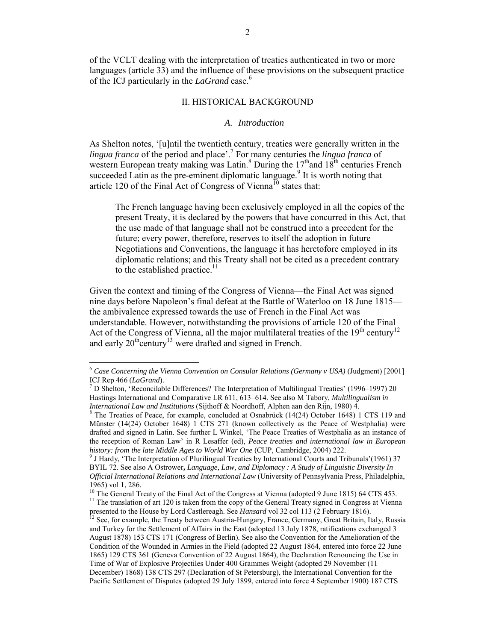of the VCLT dealing with the interpretation of treaties authenticated in two or more languages (article 33) and the influence of these provisions on the subsequent practice of the ICJ particularly in the *LaGrand* case.6

## II. HISTORICAL BACKGROUND

#### *A. Introduction*

As Shelton notes, '[u]ntil the twentieth century, treaties were generally written in the *lingua franca* of the period and place'.7 For many centuries the *lingua franca* of western European treaty making was Latin.<sup>8</sup> During the  $17<sup>th</sup>$  and  $18<sup>th</sup>$  centuries French succeeded Latin as the pre-eminent diplomatic language.<sup>9</sup> It is worth noting that article 120 of the Final Act of Congress of Vienna<sup>10</sup> states that:

The French language having been exclusively employed in all the copies of the present Treaty, it is declared by the powers that have concurred in this Act, that the use made of that language shall not be construed into a precedent for the future; every power, therefore, reserves to itself the adoption in future Negotiations and Conventions, the language it has heretofore employed in its diplomatic relations; and this Treaty shall not be cited as a precedent contrary to the established practice.<sup>11</sup>

Given the context and timing of the Congress of Vienna—the Final Act was signed nine days before Napoleon's final defeat at the Battle of Waterloo on 18 June 1815 the ambivalence expressed towards the use of French in the Final Act was understandable. However, notwithstanding the provisions of article 120 of the Final Act of the Congress of Vienna, all the major multilateral treaties of the  $19<sup>th</sup>$  century<sup>12</sup> and early  $20^{\text{th}}$ century<sup>13</sup> were drafted and signed in French.

<sup>6</sup> *Case Concerning the Vienna Convention on Consular Relations (Germany v USA)* (Judgment) [2001] ICJ Rep 466 (*LaGrand*).<br><sup>7</sup> D Shelton, 'Reconcilable Differences? The Interpretation of Multilingual Treaties' (1996–1997) 20

Hastings International and Comparative LR 611, 613–614. See also M Tabory, *Multilingualism in International Law and Institutions* (Sijthoff & Noordhoff, Alphen aan den Rijn, 1980) 4.<br><sup>8</sup> The Treaties of Peace, for example, concluded at Osnabrück (14(24) October 1648) 1 CTS 119 and

Münster (14(24) October 1648) 1 CTS 271 (known collectively as the Peace of Westphalia) were drafted and signed in Latin. See further L Winkel, 'The Peace Treaties of Westphalia as an instance of the reception of Roman Law' in R Lesaffer (ed), *Peace treaties and international law in European history: from the late Middle Ages to World War One* (CUP, Cambridge, 2004) 222.<br><sup>9</sup> J Hardy, 'The Interpretation of Plurilingual Treaties by International Courts and Tribunals'(1961) 37

BYIL 72. See also A Ostrower**,** *Language, Law, and Diplomacy : A Study of Linguistic Diversity In Official International Relations and International Law* (University of Pennsylvania Press, Philadelphia, 1965) vol 1, 286.<br><sup>10</sup> The General Treaty of the Final Act of the Congress at Vienna (adopted 9 June 1815) 64 CTS 453.

<sup>&</sup>lt;sup>11</sup> The translation of art 120 is taken from the copy of the General Treaty signed in Congress at Vienna presented to the House by Lord Castlereagh. See *Hansard* vol 32 col 113 (2 February 1816). <sup>12</sup> See, for example, the Treaty between Austria-Hungary, France, Germany, Great Britain, Italy, Russia

and Turkey for the Settlement of Affairs in the East (adopted 13 July 1878, ratifications exchanged 3 August 1878) 153 CTS 171 (Congress of Berlin). See also the Convention for the Amelioration of the Condition of the Wounded in Armies in the Field (adopted 22 August 1864, entered into force 22 June 1865) 129 CTS 361 (Geneva Convention of 22 August 1864), the Declaration Renouncing the Use in Time of War of Explosive Projectiles Under 400 Grammes Weight (adopted 29 November (11 December) 1868) 138 CTS 297 (Declaration of St Petersburg), the International Convention for the Pacific Settlement of Disputes (adopted 29 July 1899, entered into force 4 September 1900) 187 CTS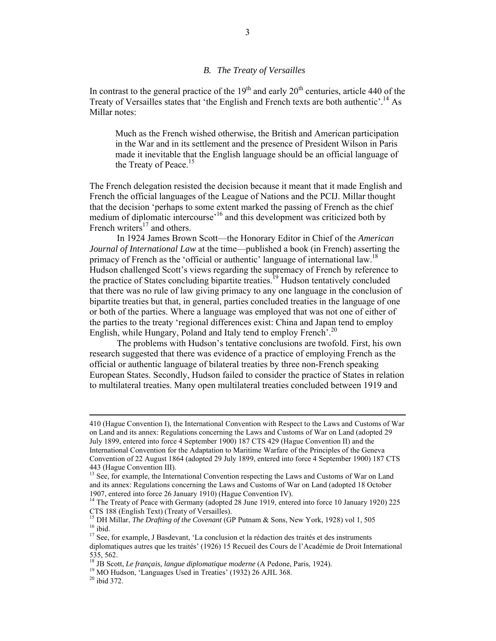## *B. The Treaty of Versailles*

In contrast to the general practice of the  $19<sup>th</sup>$  and early  $20<sup>th</sup>$  centuries, article 440 of the Treaty of Versailles states that 'the English and French texts are both authentic'.<sup>14</sup> As Millar notes:

Much as the French wished otherwise, the British and American participation in the War and in its settlement and the presence of President Wilson in Paris made it inevitable that the English language should be an official language of the Treaty of Peace.<sup>15</sup>

The French delegation resisted the decision because it meant that it made English and French the official languages of the League of Nations and the PCIJ. Millar thought that the decision 'perhaps to some extent marked the passing of French as the chief medium of diplomatic intercourse'16 and this development was criticized both by French writers<sup>17</sup> and others.

In 1924 James Brown Scott—the Honorary Editor in Chief of the *American Journal of International Law* at the time—published a book (in French) asserting the primacy of French as the 'official or authentic' language of international law.<sup>18</sup> Hudson challenged Scott's views regarding the supremacy of French by reference to the practice of States concluding bipartite treaties.<sup>19</sup> Hudson tentatively concluded that there was no rule of law giving primacy to any one language in the conclusion of bipartite treaties but that, in general, parties concluded treaties in the language of one or both of the parties. Where a language was employed that was not one of either of the parties to the treaty 'regional differences exist: China and Japan tend to employ English, while Hungary, Poland and Italy tend to employ French<sup>'.20</sup>

The problems with Hudson's tentative conclusions are twofold. First, his own research suggested that there was evidence of a practice of employing French as the official or authentic language of bilateral treaties by three non-French speaking European States. Secondly, Hudson failed to consider the practice of States in relation to multilateral treaties. Many open multilateral treaties concluded between 1919 and

<sup>410 (</sup>Hague Convention I), the International Convention with Respect to the Laws and Customs of War on Land and its annex: Regulations concerning the Laws and Customs of War on Land (adopted 29 July 1899, entered into force 4 September 1900) 187 CTS 429 (Hague Convention II) and the International Convention for the Adaptation to Maritime Warfare of the Principles of the Geneva Convention of 22 August 1864 (adopted 29 July 1899, entered into force 4 September 1900) 187 CTS 443 (Hague Convention III).

<sup>&</sup>lt;sup>13</sup> See, for example, the International Convention respecting the Laws and Customs of War on Land and its annex: Regulations concerning the Laws and Customs of War on Land (adopted 18 October 1907, entered into force 26 January 1910) (Hague Convention IV).

<sup>&</sup>lt;sup>14</sup> The Treaty of Peace with Germany (adopted 28 June 1919, entered into force 10 January 1920) 225 CTS 188 (English Text) (Treaty of Versailles).<br><sup>15</sup> DH Millar, *The Drafting of the Covenant* (GP Putnam & Sons, New York, 1928) vol 1, 505

<sup>16</sup> ibid.<br><sup>16</sup> ibid. <sup>17</sup> See, for example, J Basdevant, 'La conclusion et la rédaction des traités et des instruments

diplomatiques autres que les traités' (1926) 15 Recueil des Cours de l'Académie de Droit International 535, 562.

<sup>&</sup>lt;sup>18</sup> JB Scott, *Le français, langue diplomatique moderne* (A Pedone, Paris, 1924).<br><sup>19</sup> MO Hudson, 'Languages Used in Treaties' (1932) 26 AJIL 368.<br><sup>20</sup> ibid 372.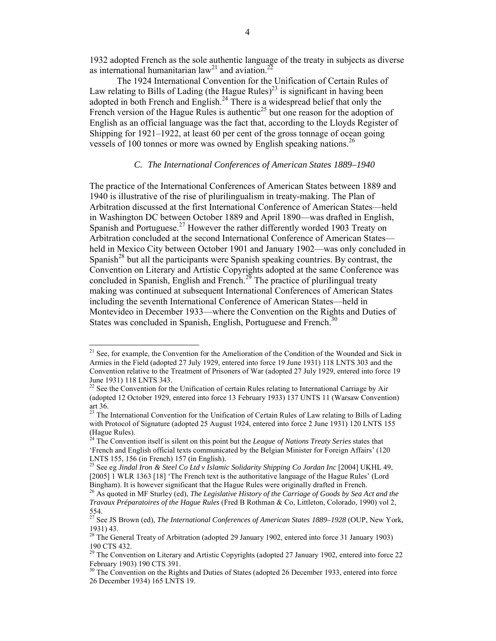1932 adopted French as the sole authentic language of the treaty in subjects as diverse as international humanitarian  $law<sup>21</sup>$  and aviation.<sup>22</sup>

The 1924 International Convention for the Unification of Certain Rules of Law relating to Bills of Lading (the Hague Rules)<sup>23</sup> is significant in having been adopted in both French and English.<sup>24</sup> There is a widespread belief that only the French version of the Hague Rules is authentic<sup>25</sup> but one reason for the adoption of English as an official language was the fact that, according to the Lloyds Register of Shipping for 1921–1922, at least 60 per cent of the gross tonnage of ocean going vessels of 100 tonnes or more was owned by English speaking nations.<sup>26</sup>

## *C. The International Conferences of American States 1889–1940*

The practice of the International Conferences of American States between 1889 and 1940 is illustrative of the rise of plurilingualism in treaty-making. The Plan of Arbitration discussed at the first International Conference of American States—held in Washington DC between October 1889 and April 1890—was drafted in English, Spanish and Portuguese.<sup>27</sup> However the rather differently worded 1903 Treaty on Arbitration concluded at the second International Conference of American States held in Mexico City between October 1901 and January 1902—was only concluded in Spanish<sup>28</sup> but all the participants were Spanish speaking countries. By contrast, the Convention on Literary and Artistic Copyrights adopted at the same Conference was concluded in Spanish, English and French.<sup>29</sup> The practice of plurilingual treaty making was continued at subsequent International Conferences of American States including the seventh International Conference of American States—held in Montevideo in December 1933—where the Convention on the Rights and Duties of States was concluded in Spanish, English, Portuguese and French.<sup>30</sup>

<sup>&</sup>lt;sup>21</sup> See, for example, the Convention for the Amelioration of the Condition of the Wounded and Sick in Armies in the Field (adopted 27 July 1929, entered into force 19 June 1931) 118 LNTS 303 and the Convention relative to the Treatment of Prisoners of War (adopted 27 July 1929, entered into force 19 June 1931) 118 LNTS 343.

<sup>&</sup>lt;sup>22</sup> See the Convention for the Unification of certain Rules relating to International Carriage by Air (adopted 12 October 1929, entered into force 13 February 1933) 137 UNTS 11 (Warsaw Convention) art 36.

<sup>&</sup>lt;sup>23</sup> The International Convention for the Unification of Certain Rules of Law relating to Bills of Lading with Protocol of Signature (adopted 25 August 1924, entered into force 2 June 1931) 120 LNTS 155 (Hague Rules).

<sup>24</sup> The Convention itself is silent on this point but the *League of Nations Treaty Series* states that 'French and English official texts communicated by the Belgian Minister for Foreign Affairs' (120 LNTS 155, 156 (in French) 157 (in English).

<sup>25</sup> See eg *Jindal Iron & Steel Co Ltd v Islamic Solidarity Shipping Co Jordan Inc* [2004] UKHL 49, [2005] 1 WLR 1363 [18] 'The French text is the authoritative language of the Hague Rules' (Lord Bingham). It is however significant that the Hague Rules were originally drafted in French.

<sup>26</sup> As quoted in MF Sturley (ed), *The Legislative History of the Carriage of Goods by Sea Act and the Travaux Préparatoires of the Hague Rules* (Fred B Rothman & Co, Littleton, Colorado, 1990) vol 2, 554.

<sup>27</sup> See JS Brown (ed), *The International Conferences of American States 1889–1928* (OUP, New York, 1931) 43.

 $28$  The General Treaty of Arbitration (adopted 29 January 1902, entered into force 31 January 1903) 190 CTS 432.

<sup>&</sup>lt;sup>29</sup> The Convention on Literary and Artistic Copyrights (adopted 27 January 1902, entered into force 22 February 1903) 190 CTS 391.

<sup>&</sup>lt;sup>30</sup> The Convention on the Rights and Duties of States (adopted 26 December 1933, entered into force 26 December 1934) 165 LNTS 19.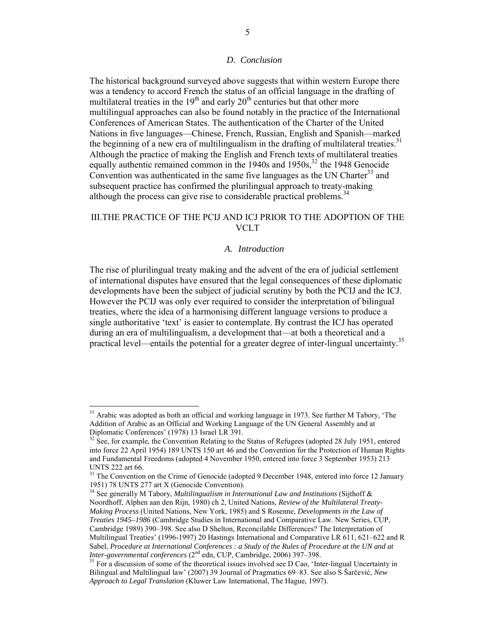#### *D. Conclusion*

The historical background surveyed above suggests that within western Europe there was a tendency to accord French the status of an official language in the drafting of multilateral treaties in the  $19<sup>th</sup>$  and early  $20<sup>th</sup>$  centuries but that other more multilingual approaches can also be found notably in the practice of the International Conferences of American States. The authentication of the Charter of the United Nations in five languages—Chinese, French, Russian, English and Spanish—marked the beginning of a new era of multilingualism in the drafting of multilateral treaties.<sup>31</sup> Although the practice of making the English and French texts of multilateral treaties equally authentic remained common in the  $1940s$  and  $1950s<sub>2</sub><sup>32</sup>$  the 1948 Genocide Convention was authenticated in the same five languages as the UN Charter<sup>33</sup> and subsequent practice has confirmed the plurilingual approach to treaty-making although the process can give rise to considerable practical problems.<sup>34</sup>

# III.THE PRACTICE OF THE PCIJ AND ICJ PRIOR TO THE ADOPTION OF THE VCLT

# *A. Introduction*

The rise of plurilingual treaty making and the advent of the era of judicial settlement of international disputes have ensured that the legal consequences of these diplomatic developments have been the subject of judicial scrutiny by both the PCIJ and the ICJ. However the PCIJ was only ever required to consider the interpretation of bilingual treaties, where the idea of a harmonising different language versions to produce a single authoritative 'text' is easier to contemplate. By contrast the ICJ has operated during an era of multilingualism, a development that—at both a theoretical and a practical level—entails the potential for a greater degree of inter-lingual uncertainty.<sup>35</sup>

 $31$  Arabic was adopted as both an official and working language in 1973. See further M Tabory, 'The Addition of Arabic as an Official and Working Language of the UN General Assembly and at Diplomatic Conferences' (1978) 13 Israel LR 391.

See, for example, the Convention Relating to the Status of Refugees (adopted 28 July 1951, entered into force 22 April 1954) 189 UNTS 150 art 46 and the Convention for the Protection of Human Rights and Fundamental Freedoms (adopted 4 November 1950, entered into force 3 September 1953) 213 UNTS 222 art 66.

<sup>&</sup>lt;sup>33</sup> The Convention on the Crime of Genocide (adopted 9 December 1948, entered into force 12 January 1951) 78 UNTS 277 art X (Genocide Convention).

<sup>34</sup> See generally M Tabory, *Multilingualism in International Law and Institutions* (Sijthoff & Noordhoff, Alphen aan den Rijn, 1980) ch 2, United Nations, *Review of the Multilateral Treaty-Making Process* (United Nations, New York, 1985) and S Rosenne, *Developments in the Law of Treaties 1945–1986* (Cambridge Studies in International and Comparative Law. New Series, CUP, Cambridge 1989) 390–398. See also D Shelton, Reconcilable Differences? The Interpretation of Multilingual Treaties' (1996-1997) 20 Hastings International and Comparative LR 611, 621–622 and R Sabel, *Procedure at International Conferences : a Study of the Rules of Procedure at the UN and at Inter-governmental conferences* (2<sup>nd</sup> edn, CUP, Cambridge, 2006) 397–398.

<sup>&</sup>lt;sup>35</sup> For a discussion of some of the theoretical issues involved see D Cao, 'Inter-lingual Uncertainty in Bilingual and Multilingual law' (2007) 39 Journal of Pragmatics 69–83. See also S Šarčević, *New Approach to Legal Translation* (Kluwer Law International, The Hague, 1997).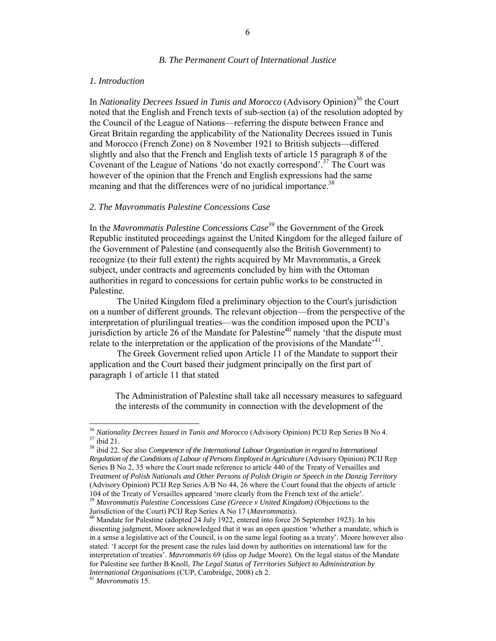#### *B. The Permanent Court of International Justice*

#### *1. Introduction*

In *Nationality Decrees Issued in Tunis and Morocco* (Advisory Opinion)<sup>36</sup> the Court noted that the English and French texts of sub-section (a) of the resolution adopted by the Council of the League of Nations—referring the dispute between France and Great Britain regarding the applicability of the Nationality Decrees issued in Tunis and Morocco (French Zone) on 8 November 1921 to British subjects—differed slightly and also that the French and English texts of article 15 paragraph 8 of the Covenant of the League of Nations 'do not exactly correspond'.<sup>37</sup> The Court was however of the opinion that the French and English expressions had the same meaning and that the differences were of no juridical importance.<sup>38</sup>

#### *2. The Mavrommatis Palestine Concessions Case*

In the *Mavrommatis Palestine Concessions Case*<sup>39</sup> the Government of the Greek Republic instituted proceedings against the United Kingdom for the alleged failure of the Government of Palestine (and consequently also the British Government) to recognize (to their full extent) the rights acquired by Mr Mavrommatis, a Greek subject, under contracts and agreements concluded by him with the Ottoman authorities in regard to concessions for certain public works to be constructed in Palestine.

The United Kingdom filed a preliminary objection to the Court's jurisdiction on a number of different grounds. The relevant objection—from the perspective of the interpretation of plurilingual treaties—was the condition imposed upon the PCIJ's jurisdiction by article 26 of the Mandate for Palestine<sup>40</sup> namely 'that the dispute must relate to the interpretation or the application of the provisions of the Mandate<sup> $,41$ </sup>.

The Greek Goverment relied upon Article 11 of the Mandate to support their application and the Court based their judgment principally on the first part of paragraph 1 of article 11 that stated

The Administration of Palestine shall take all necessary measures to safeguard the interests of the community in connection with the development of the

<sup>&</sup>lt;sup>36</sup> *Nationality Decrees Issued in Tunis and Morocco* (Advisory Opinion) PCIJ Rep Series B No 4.<br><sup>37</sup> ibid 21.<br><sup>38</sup> ibid 22. See also *Competence of the International Labour Organization in regard to International* 

<sup>&</sup>lt;sup>38</sup> ibid 22. See also *Competence of the International Labour Organization in regard to International*<br>Regulation of the Conditions of Labour of Persons Employed in Agriculture (Advisory Opinion) PCIJ Rep Series B No 2, 35 where the Court made reference to article 440 of the Treaty of Versailles and *Treatment of Polish Nationals and Other Persons of Polish Origin or Speech in the Danzig Territory* (Advisory Opinion) PCIJ Rep Series A/B No 44, 26 where the Court found that the objects of article 104 of the Treaty of Versailles appeared 'more clearly from the French text of the article'. <sup>39</sup> *Mavrommatis Palestine Concessions Case (Greece v United Kingdom)* (Objections to the

Jurisdiction of the Court) PCIJ Rep Series A No 17 (*Mavrommatis*). <sup>40</sup> Mandate for Palestine (adopted 24 July 1922, entered into force 26 September 1923). In his dissenting judgment, Moore acknowledged that it was an open question 'whether a mandate, which is in a sense a legislative act of the Council, is on the same legal footing as a treaty'. Moore however also stated: 'I accept for the present case the rules laid down by authorities on international law for the interpretation of treaties'. *Mavrommatis* 69 (diss op Judge Moore). On the legal status of the Mandate for Palestine see further B Knoll, *The Legal Status of Territories Subject to Administration by International Organisations* (CUP, Cambridge, 2008) ch 2. <sup>41</sup> *Mavrommatis* 15.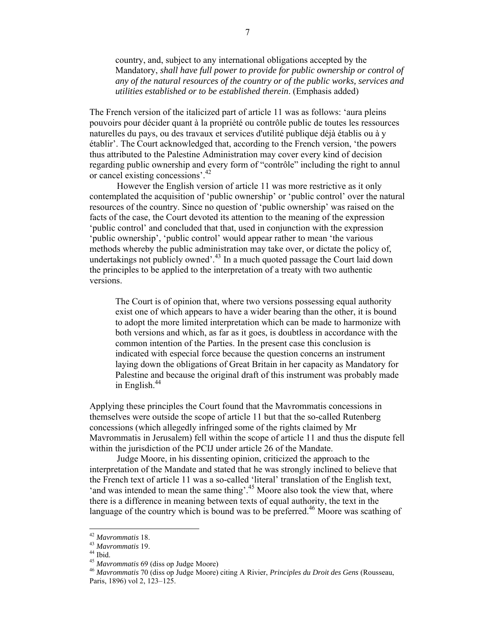country, and, subject to any international obligations accepted by the Mandatory, *shall have full power to provide for public ownership or control of any of the natural resources of the country or of the public works, services and utilities established or to be established therein*. (Emphasis added)

The French version of the italicized part of article 11 was as follows: 'aura pleins pouvoirs pour décider quant à la propriété ou contrôle public de toutes les ressources naturelles du pays, ou des travaux et services d'utilité publique déjà établis ou à y établir'. The Court acknowledged that, according to the French version, 'the powers thus attributed to the Palestine Administration may cover every kind of decision regarding public ownership and every form of "contrôle" including the right to annul or cancel existing concessions'.42

However the English version of article 11 was more restrictive as it only contemplated the acquisition of 'public ownership' or 'public control' over the natural resources of the country. Since no question of 'public ownership' was raised on the facts of the case, the Court devoted its attention to the meaning of the expression 'public control' and concluded that that, used in conjunction with the expression 'public ownership', 'public control' would appear rather to mean 'the various methods whereby the public administration may take over, or dictate the policy of, undertakings not publicly owned'.<sup>43</sup> In a much quoted passage the Court laid down the principles to be applied to the interpretation of a treaty with two authentic versions.

The Court is of opinion that, where two versions possessing equal authority exist one of which appears to have a wider bearing than the other, it is bound to adopt the more limited interpretation which can be made to harmonize with both versions and which, as far as it goes, is doubtless in accordance with the common intention of the Parties. In the present case this conclusion is indicated with especial force because the question concerns an instrument laying down the obligations of Great Britain in her capacity as Mandatory for Palestine and because the original draft of this instrument was probably made in English.<sup>44</sup>

Applying these principles the Court found that the Mavrommatis concessions in themselves were outside the scope of article 11 but that the so-called Rutenberg concessions (which allegedly infringed some of the rights claimed by Mr Mavrommatis in Jerusalem) fell within the scope of article 11 and thus the dispute fell within the jurisdiction of the PCIJ under article 26 of the Mandate.

Judge Moore, in his dissenting opinion, criticized the approach to the interpretation of the Mandate and stated that he was strongly inclined to believe that the French text of article 11 was a so-called 'literal' translation of the English text, 'and was intended to mean the same thing'.<sup>45</sup> Moore also took the view that, where there is a difference in meaning between texts of equal authority, the text in the language of the country which is bound was to be preferred.<sup>46</sup> Moore was scathing of

<sup>42</sup> *Mavrommatis* 18. <sup>43</sup> *Mavrommatis* 19. <sup>44</sup> Ibid. <sup>45</sup> *Mavrommatis* 69 (diss op Judge Moore) <sup>46</sup> *Mavrommatis* 70 (diss op Judge Moore) citing A Rivier, *Principles du Droit des Gens* (Rousseau, Paris, 1896) vol 2, 123–125.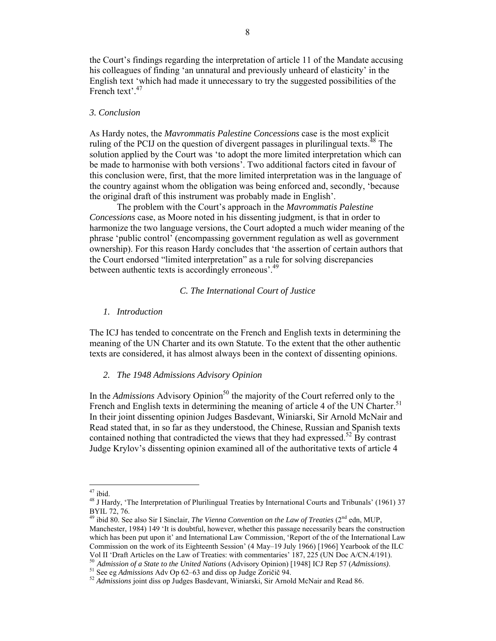the Court's findings regarding the interpretation of article 11 of the Mandate accusing his colleagues of finding 'an unnatural and previously unheard of elasticity' in the English text 'which had made it unnecessary to try the suggested possibilities of the French text<sup>', 47</sup>

#### *3. Conclusion*

As Hardy notes, the *Mavrommatis Palestine Concessions* case is the most explicit ruling of the PCIJ on the question of divergent passages in plurilingual texts.<sup>48</sup> The solution applied by the Court was 'to adopt the more limited interpretation which can be made to harmonise with both versions'. Two additional factors cited in favour of this conclusion were, first, that the more limited interpretation was in the language of the country against whom the obligation was being enforced and, secondly, 'because the original draft of this instrument was probably made in English'.

The problem with the Court's approach in the *Mavrommatis Palestine Concessions* case, as Moore noted in his dissenting judgment, is that in order to harmonize the two language versions, the Court adopted a much wider meaning of the phrase 'public control' (encompassing government regulation as well as government ownership). For this reason Hardy concludes that 'the assertion of certain authors that the Court endorsed "limited interpretation" as a rule for solving discrepancies between authentic texts is accordingly erroneous<sup>'.49</sup>

#### *C. The International Court of Justice*

### *1. Introduction*

The ICJ has tended to concentrate on the French and English texts in determining the meaning of the UN Charter and its own Statute. To the extent that the other authentic texts are considered, it has almost always been in the context of dissenting opinions.

## *2. The 1948 Admissions Advisory Opinion*

In the *Admissions* Advisory Opinion<sup>50</sup> the majority of the Court referred only to the French and English texts in determining the meaning of article 4 of the UN Charter.<sup>51</sup> In their joint dissenting opinion Judges Basdevant, Winiarski, Sir Arnold McNair and Read stated that, in so far as they understood, the Chinese, Russian and Spanish texts contained nothing that contradicted the views that they had expressed.<sup>52</sup> By contrast Judge Krylov's dissenting opinion examined all of the authoritative texts of article 4

 $^{47}$ ibid.

<sup>&</sup>lt;sup>48</sup> J Hardy, 'The Interpretation of Plurilingual Treaties by International Courts and Tribunals' (1961) 37 BYIL 72, 76.

<sup>49</sup> ibid 80. See also Sir I Sinclair, *The Vienna Convention on the Law of Treaties* (2<sup>nd</sup> edn, MUP, Manchester, 1984) 149 'It is doubtful, however, whether this passage necessarily bears the construction which has been put upon it' and International Law Commission, 'Report of the of the International Law Commission on the work of its Eighteenth Session' (4 May–19 July 1966) [1966] Yearbook of the ILC Vol II 'Draft Articles on the Law of Treaties: with commentaries' 187, 225 (UN Doc A/CN.4/191).

<sup>&</sup>lt;sup>50</sup> Admission of a State to the United Nations (Advisory Opinion) [1948] ICJ Rep 57 (Admissions).<br><sup>51</sup> See eg Admissions Adv Op 62–63 and diss op Judge Zoričič 94.<br><sup>52</sup> Admissions joint diss op Judges Basdevant, Winiarsk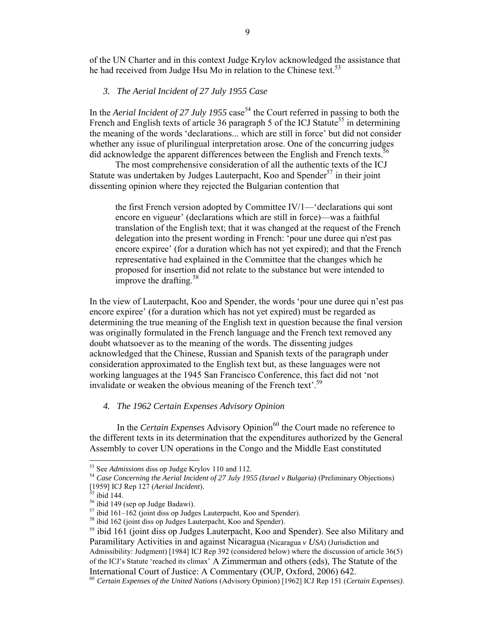of the UN Charter and in this context Judge Krylov acknowledged the assistance that he had received from Judge Hsu Mo in relation to the Chinese text.<sup>53</sup>

## *3. The Aerial Incident of 27 July 1955 Case*

In the *Aerial Incident of 27 July 1955* case<sup>54</sup> the Court referred in passing to both the French and English texts of article 36 paragraph 5 of the ICJ Statute<sup>55</sup> in determining the meaning of the words 'declarations... which are still in force' but did not consider whether any issue of plurilingual interpretation arose. One of the concurring judges did acknowledge the apparent differences between the English and French texts.<sup>56</sup>

The most comprehensive consideration of all the authentic texts of the ICJ Statute was undertaken by Judges Lauterpacht, Koo and Spender<sup>57</sup> in their joint dissenting opinion where they rejected the Bulgarian contention that

the first French version adopted by Committee IV/1—'declarations qui sont encore en vigueur' (declarations which are still in force)—was a faithful translation of the English text; that it was changed at the request of the French delegation into the present wording in French: 'pour une duree qui n'est pas encore expiree' (for a duration which has not yet expired); and that the French representative had explained in the Committee that the changes which he proposed for insertion did not relate to the substance but were intended to improve the drafting.<sup>58</sup>

In the view of Lauterpacht, Koo and Spender, the words 'pour une duree qui n'est pas encore expiree' (for a duration which has not yet expired) must be regarded as determining the true meaning of the English text in question because the final version was originally formulated in the French language and the French text removed any doubt whatsoever as to the meaning of the words. The dissenting judges acknowledged that the Chinese, Russian and Spanish texts of the paragraph under consideration approximated to the English text but, as these languages were not working languages at the 1945 San Francisco Conference, this fact did not 'not invalidate or weaken the obvious meaning of the French text'.<sup>59</sup>

# *4. The 1962 Certain Expenses Advisory Opinion*

In the *Certain Expenses* Advisory Opinion<sup>60</sup> the Court made no reference to the different texts in its determination that the expenditures authorized by the General Assembly to cover UN operations in the Congo and the Middle East constituted

<sup>&</sup>lt;sup>53</sup> See *Admissions* diss op Judge Krylov 110 and 112.

<sup>&</sup>lt;sup>54</sup> Case Concerning the Aerial Incident of 27 July 1955 (Israel v Bulgaria) (Preliminary Objections)<br>[1959] ICJ Rep 127 (Aerial Incident).<br><sup>55</sup> ibid 144.

<sup>&</sup>lt;sup>56</sup> ibid 149 (sep op Judge Badawi).<br>
<sup>57</sup> ibid 161–162 (joint diss op Judges Lauterpacht, Koo and Spender).<br>
<sup>58</sup> ibid 162 (joint diss op Judges Lauterpacht, Koo and Spender).

<sup>&</sup>lt;sup>59</sup> ibid 161 (joint diss op Judges Lauterpacht, Koo and Spender). See also Military and Paramilitary Activities in and against Nicaragua (Nicaragua *v USA*) (Jurisdiction and Admissibility: Judgment) [1984] ICJ Rep 392 (considered below) where the discussion of article 36(5) of the ICJ's Statute 'reached its climax' A Zimmerman and others (eds), The Statute of the International Court of Justice: A Commentary (OUP, Oxford, 2006) 642.

<sup>60</sup> *Certain Expenses of the United Nations* (Advisory Opinion) [1962] ICJ Rep 151 (*Certain Expenses)*.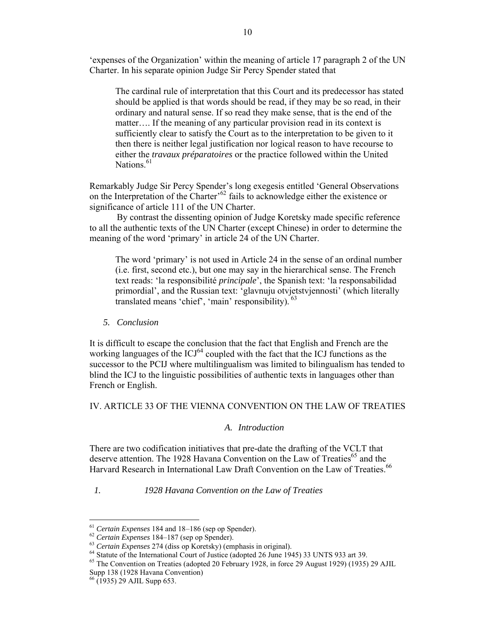'expenses of the Organization' within the meaning of article 17 paragraph 2 of the UN Charter. In his separate opinion Judge Sir Percy Spender stated that

The cardinal rule of interpretation that this Court and its predecessor has stated should be applied is that words should be read, if they may be so read, in their ordinary and natural sense. If so read they make sense, that is the end of the matter…. If the meaning of any particular provision read in its context is sufficiently clear to satisfy the Court as to the interpretation to be given to it then there is neither legal justification nor logical reason to have recourse to either the *travaux préparatoires* or the practice followed within the United Nations. $61$ 

Remarkably Judge Sir Percy Spender's long exegesis entitled 'General Observations on the Interpretation of the Charter<sup>562</sup> fails to acknowledge either the existence or significance of article 111 of the UN Charter.

By contrast the dissenting opinion of Judge Koretsky made specific reference to all the authentic texts of the UN Charter (except Chinese) in order to determine the meaning of the word 'primary' in article 24 of the UN Charter.

The word 'primary' is not used in Article 24 in the sense of an ordinal number (i.e. first, second etc.), but one may say in the hierarchical sense. The French text reads: 'la responsibilité *principale*', the Spanish text: 'la responsabilidad primordial', and the Russian text: 'glavnuju otvjetstvjennosti' (which literally translated means 'chief', 'main' responsibility).  $63$ 

## *5. Conclusion*

It is difficult to escape the conclusion that the fact that English and French are the working languages of the  $ICJ<sup>64</sup>$  coupled with the fact that the ICJ functions as the successor to the PCIJ where multilingualism was limited to bilingualism has tended to blind the ICJ to the linguistic possibilities of authentic texts in languages other than French or English.

## IV. ARTICLE 33 OF THE VIENNA CONVENTION ON THE LAW OF TREATIES

# *A. Introduction*

There are two codification initiatives that pre-date the drafting of the VCLT that deserve attention. The 1928 Havana Convention on the Law of Treaties<sup>65</sup> and the Harvard Research in International Law Draft Convention on the Law of Treaties.<sup>66</sup>

# *1. 1928 Havana Convention on the Law of Treaties*

<sup>&</sup>lt;sup>61</sup> Certain Expenses 184 and 18–186 (sep op Spender).<br><sup>62</sup> Certain Expenses 184–187 (sep op Spender).<br><sup>63</sup> Certain Expenses 274 (diss op Koretsky) (emphasis in original).<br><sup>64</sup> Statute of the International Court of Justic Supp 138 (1928 Havana Convention)

<sup>66</sup> (1935) 29 AJIL Supp 653.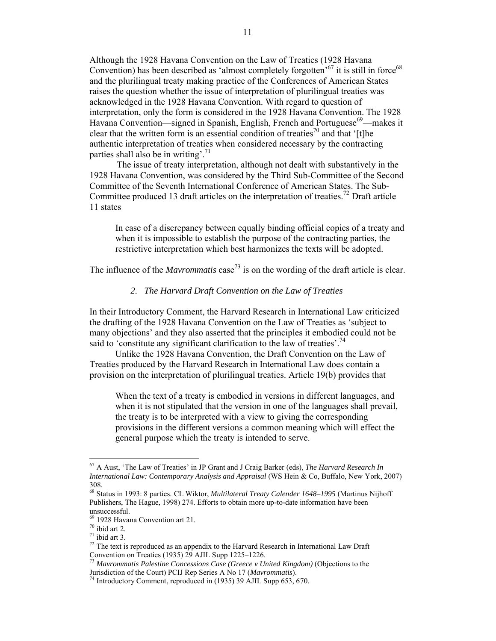Although the 1928 Havana Convention on the Law of Treaties (1928 Havana Convention) has been described as 'almost completely forgotten'<sup>67</sup> it is still in force<sup>68</sup> and the plurilingual treaty making practice of the Conferences of American States raises the question whether the issue of interpretation of plurilingual treaties was acknowledged in the 1928 Havana Convention. With regard to question of interpretation, only the form is considered in the 1928 Havana Convention. The 1928 Havana Convention—signed in Spanish, English, French and Portuguese<sup>69</sup>—makes it clear that the written form is an essential condition of treaties<sup>70</sup> and that '[t]he authentic interpretation of treaties when considered necessary by the contracting parties shall also be in writing'.<sup>71</sup>

The issue of treaty interpretation, although not dealt with substantively in the 1928 Havana Convention, was considered by the Third Sub-Committee of the Second Committee of the Seventh International Conference of American States. The Sub-Committee produced 13 draft articles on the interpretation of treaties.<sup>72</sup> Draft article 11 states

In case of a discrepancy between equally binding official copies of a treaty and when it is impossible to establish the purpose of the contracting parties, the restrictive interpretation which best harmonizes the texts will be adopted.

The influence of the *Mavrommatis* case<sup>73</sup> is on the wording of the draft article is clear.

## *2. The Harvard Draft Convention on the Law of Treaties*

In their Introductory Comment, the Harvard Research in International Law criticized the drafting of the 1928 Havana Convention on the Law of Treaties as 'subject to many objections' and they also asserted that the principles it embodied could not be said to 'constitute any significant clarification to the law of treaties'.<sup>74</sup>

Unlike the 1928 Havana Convention, the Draft Convention on the Law of Treaties produced by the Harvard Research in International Law does contain a provision on the interpretation of plurilingual treaties. Article 19(b) provides that

When the text of a treaty is embodied in versions in different languages, and when it is not stipulated that the version in one of the languages shall prevail, the treaty is to be interpreted with a view to giving the corresponding provisions in the different versions a common meaning which will effect the general purpose which the treaty is intended to serve.

<sup>67</sup> A Aust, 'The Law of Treaties' in JP Grant and J Craig Barker (eds), *The Harvard Research In International Law: Contemporary Analysis and Appraisal* (WS Hein & Co, Buffalo, New York, 2007) 308.

<sup>68</sup> Status in 1993: 8 parties. CL Wiktor, *Multilateral Treaty Calender 1648–1995* (Martinus Nijhoff Publishers, The Hague, 1998) 274. Efforts to obtain more up-to-date information have been

unsuccessful.<br><sup>69</sup> 1928 Havana Convention art 21.

<sup>&</sup>lt;sup>70</sup> ibid art 2.<br><sup>71</sup> ibid art 3.<br><sup>71</sup> ibid art 3.<br><sup>72</sup> The text is reproduced as an appendix to the Harvard Research in International Law Draft Convention on Treaties (1935) 29 AJIL Supp 1225–1226.

<sup>&</sup>lt;sup>73</sup> *Mavrommatis Palestine Concessions Case (Greece v United Kingdom)* (Objections to the Jurisdiction of the Court) PCIJ Rep Series A No 17 *(Mavrommatis)*.

<sup>&</sup>lt;sup>74</sup> Introductory Comment, reproduced in (1935) 39 AJIL Supp 653, 670.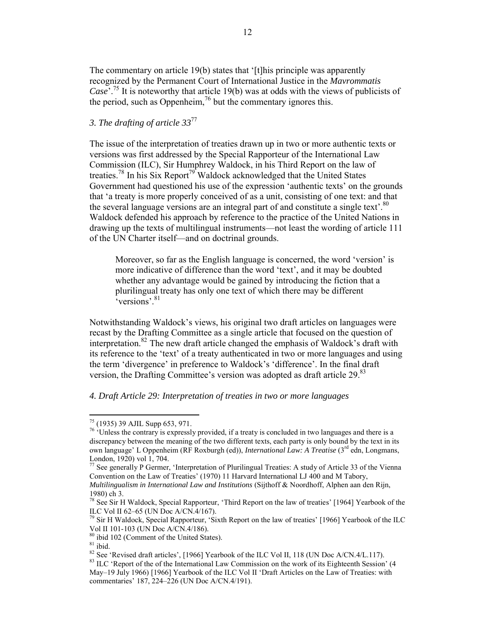The commentary on article 19(b) states that '[t]his principle was apparently recognized by the Permanent Court of International Justice in the *Mavrommatis Case*'.75 It is noteworthy that article 19(b) was at odds with the views of publicists of the period, such as Oppenheim,<sup>76</sup> but the commentary ignores this.

# *3. The drafting of article 33*<sup>77</sup>

The issue of the interpretation of treaties drawn up in two or more authentic texts or versions was first addressed by the Special Rapporteur of the International Law Commission (ILC), Sir Humphrey Waldock, in his Third Report on the law of treaties.<sup>78</sup> In his Six Report<sup>79</sup> Waldock acknowledged that the United States Government had questioned his use of the expression 'authentic texts' on the grounds that 'a treaty is more properly conceived of as a unit, consisting of one text: and that the several language versions are an integral part of and constitute a single text'.<sup>80</sup> Waldock defended his approach by reference to the practice of the United Nations in drawing up the texts of multilingual instruments—not least the wording of article 111 of the UN Charter itself—and on doctrinal grounds.

Moreover, so far as the English language is concerned, the word 'version' is more indicative of difference than the word 'text', and it may be doubted whether any advantage would be gained by introducing the fiction that a plurilingual treaty has only one text of which there may be different  $\epsilon_{\text{versions}}$ , 81

Notwithstanding Waldock's views, his original two draft articles on languages were recast by the Drafting Committee as a single article that focused on the question of interpretation.<sup>82</sup> The new draft article changed the emphasis of Waldock's draft with its reference to the 'text' of a treaty authenticated in two or more languages and using the term 'divergence' in preference to Waldock's 'difference'. In the final draft version, the Drafting Committee's version was adopted as draft article 29.<sup>83</sup>

# *4. Draft Article 29: Interpretation of treaties in two or more languages*

<sup>&</sup>lt;sup>75</sup> (1935) 39 AJIL Supp 653, 971.

 $\frac{76}{10}$  'Unless the contrary is expressly provided, if a treaty is concluded in two languages and there is a discrepancy between the meaning of the two different texts, each party is only bound by the text in its own language' L Oppenheim (RF Roxburgh (ed)), *International Law: A Treatise* (3rd edn, Longmans, London, 1920) vol 1, 704.

<sup>77</sup> See generally P Germer, 'Interpretation of Plurilingual Treaties: A study of Article 33 of the Vienna Convention on the Law of Treaties' (1970) 11 Harvard International LJ 400 and M Tabory, *Multilingualism in International Law and Institutions* (Sijthoff & Noordhoff, Alphen aan den Rijn, 1980) ch 3.

<sup>78</sup> See Sir H Waldock, Special Rapporteur, 'Third Report on the law of treaties' [1964] Yearbook of the ILC Vol II 62–65 (UN Doc A/CN.4/167).

 $79$  Sir H Waldock, Special Rapporteur, 'Sixth Report on the law of treaties' [1966] Yearbook of the ILC Vol II 101-103 (UN Doc A/CN.4/186).<br><sup>80</sup> ibid 102 (Comment of the United States).

<sup>&</sup>lt;sup>81</sup> ibid.<br><sup>82</sup> See 'Revised draft articles', [1966] Yearbook of the ILC Vol II, 118 (UN Doc A/CN.4/L.117).<br><sup>82</sup> See 'Revised draft articles', [1966] Yearbook of the ILC Vol II, 118 (UN Doc A/CN.4/L.117).<br><sup>83</sup> ILC 'Report

May–19 July 1966) [1966] Yearbook of the ILC Vol II 'Draft Articles on the Law of Treaties: with commentaries' 187, 224–226 (UN Doc A/CN.4/191).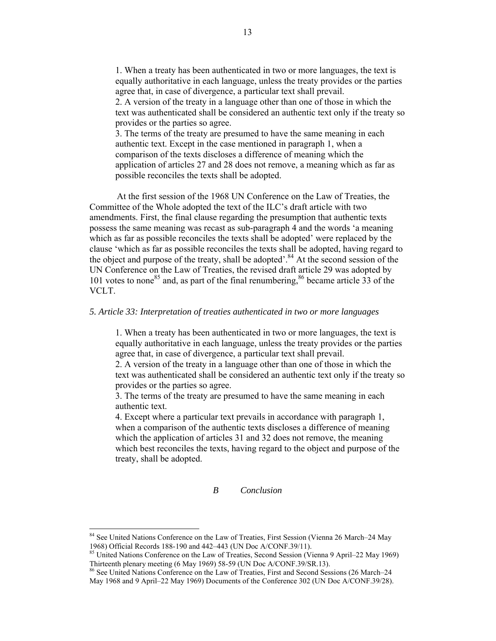1. When a treaty has been authenticated in two or more languages, the text is equally authoritative in each language, unless the treaty provides or the parties agree that, in case of divergence, a particular text shall prevail. 2. A version of the treaty in a language other than one of those in which the text was authenticated shall be considered an authentic text only if the treaty so provides or the parties so agree.

3. The terms of the treaty are presumed to have the same meaning in each authentic text. Except in the case mentioned in paragraph 1, when a comparison of the texts discloses a difference of meaning which the application of articles 27 and 28 does not remove, a meaning which as far as possible reconciles the texts shall be adopted.

At the first session of the 1968 UN Conference on the Law of Treaties, the Committee of the Whole adopted the text of the ILC's draft article with two amendments. First, the final clause regarding the presumption that authentic texts possess the same meaning was recast as sub-paragraph 4 and the words 'a meaning which as far as possible reconciles the texts shall be adopted' were replaced by the clause 'which as far as possible reconciles the texts shall be adopted, having regard to the object and purpose of the treaty, shall be adopted'.<sup>84</sup> At the second session of the UN Conference on the Law of Treaties, the revised draft article 29 was adopted by 101 votes to none<sup>85</sup> and, as part of the final renumbering,  $86$  became article 33 of the VCLT.

## *5. Article 33: Interpretation of treaties authenticated in two or more languages*

1. When a treaty has been authenticated in two or more languages, the text is equally authoritative in each language, unless the treaty provides or the parties agree that, in case of divergence, a particular text shall prevail.

2. A version of the treaty in a language other than one of those in which the text was authenticated shall be considered an authentic text only if the treaty so provides or the parties so agree.

3. The terms of the treaty are presumed to have the same meaning in each authentic text.

4. Except where a particular text prevails in accordance with paragraph 1, when a comparison of the authentic texts discloses a difference of meaning which the application of articles 31 and 32 does not remove, the meaning which best reconciles the texts, having regard to the object and purpose of the treaty, shall be adopted.

# *B Conclusion*

<sup>84</sup> See United Nations Conference on the Law of Treaties, First Session (Vienna 26 March–24 May 1968) Official Records 188-190 and 442–443 (UN Doc A/CONF.39/11).

<sup>85</sup> United Nations Conference on the Law of Treaties, Second Session (Vienna 9 April–22 May 1969) Thirteenth plenary meeting (6 May 1969) 58-59 (UN Doc A/CONF.39/SR.13).

<sup>86</sup> See United Nations Conference on the Law of Treaties, First and Second Sessions (26 March–24 May 1968 and 9 April–22 May 1969) Documents of the Conference 302 (UN Doc A/CONF.39/28).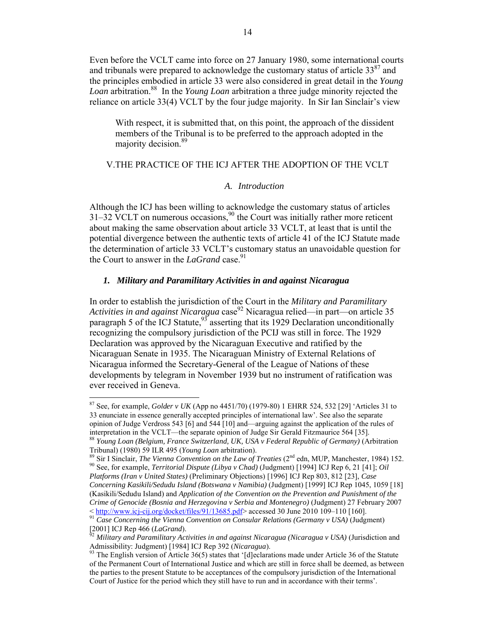Even before the VCLT came into force on 27 January 1980, some international courts and tribunals were prepared to acknowledge the customary status of article  $33^{87}$  and the principles embodied in article 33 were also considered in great detail in the *Young Loan* arbitration.88 In the *Young Loan* arbitration a three judge minority rejected the reliance on article 33(4) VCLT by the four judge majority. In Sir Ian Sinclair's view

With respect, it is submitted that, on this point, the approach of the dissident members of the Tribunal is to be preferred to the approach adopted in the majority decision.<sup>89</sup>

# V.THE PRACTICE OF THE ICJ AFTER THE ADOPTION OF THE VCLT

#### *A. Introduction*

Although the ICJ has been willing to acknowledge the customary status of articles  $31-32$  VCLT on numerous occasions,<sup>90</sup> the Court was initially rather more reticent about making the same observation about article 33 VCLT, at least that is until the potential divergence between the authentic texts of article 41 of the ICJ Statute made the determination of article 33 VCLT's customary status an unavoidable question for the Court to answer in the *LaGrand* case.<sup>91</sup>

# *1. Military and Paramilitary Activities in and against Nicaragua*

In order to establish the jurisdiction of the Court in the *Military and Paramilitary Activities in and against Nicaragua* case<sup>92</sup> Nicaragua relied—in part—on article 35 paragraph 5 of the ICJ Statute,  $93^\circ$  asserting that its 1929 Declaration unconditionally recognizing the compulsory jurisdiction of the PCIJ was still in force. The 1929 Declaration was approved by the Nicaraguan Executive and ratified by the Nicaraguan Senate in 1935. The Nicaraguan Ministry of External Relations of Nicaragua informed the Secretary-General of the League of Nations of these developments by telegram in November 1939 but no instrument of ratification was ever received in Geneva.

<sup>87</sup> See, for example, *Golder v UK* (App no 4451/70) (1979-80) 1 EHRR 524, 532 [29] 'Articles 31 to 33 enunciate in essence generally accepted principles of international law'. See also the separate opinion of Judge Verdross 543 [6] and 544 [10] and—arguing against the application of the rules of interpretation in the VCLT—the separate opinion of Judge Sir Gerald Fitzmaurice 564 [35].

<sup>88</sup> *Young Loan (Belgium, France Switzerland, UK, USA v Federal Republic of Germany)* (Arbitration

Tribunal) (1980) 59 ILR 495 (*Young Loan* arbitration).<br><sup>89</sup> Sir I Sinclair, *The Vienna Convention on the Law of Treaties* (2<sup>nd</sup> edn, MUP, Manchester, 1984) 152.<br><sup>90</sup> See, for example, *Territorial Dispute (Libya v Chad* 

*Platforms (Iran v United States)* (Preliminary Objections) [1996] ICJ Rep 803, 812 [23], *Case Concerning Kasikili/Sedudu Island (Botswana v Namibia)* (Judgment) [1999] ICJ Rep 1045, 1059 [18] (Kasikili/Sedudu Island) and *Application of the Convention on the Prevention and Punishment of the Crime of Genocide (Bosnia and Herzegovina v Serbia and Montenegro)* (Judgment) 27 February 2007

<sup>&</sup>lt; http://www.icj-cij.org/docket/files/91/13685.pdf> accessed 30 June 2010 109–110 [160]. <sup>91</sup> *Case Concerning the Vienna Convention on Consular Relations (Germany v USA)* (Judgment)

<sup>[2001]</sup> ICJ Rep 466 (*LaGrand*). <sup>92</sup> *Military and Paramilitary Activities in and against Nicaragua (Nicaragua v USA)* (Jurisdiction and Admissibility: Judgment) [1984] ICJ Rep 392 (*Nicaragua*).<br><sup>93</sup> The English version of Article 36(5) states that '[d]eclarations made under Article 36 of the Statute

of the Permanent Court of International Justice and which are still in force shall be deemed, as between the parties to the present Statute to be acceptances of the compulsory jurisdiction of the International Court of Justice for the period which they still have to run and in accordance with their terms'.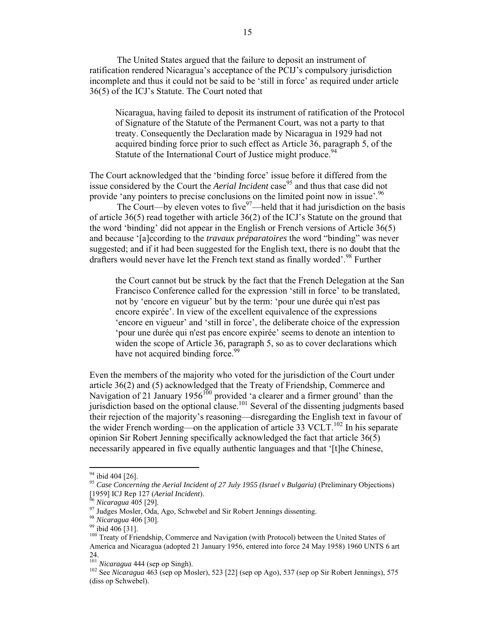The United States argued that the failure to deposit an instrument of ratification rendered Nicaragua's acceptance of the PCIJ's compulsory jurisdiction incomplete and thus it could not be said to be 'still in force' as required under article 36(5) of the ICJ's Statute. The Court noted that

Nicaragua, having failed to deposit its instrument of ratification of the Protocol of Signature of the Statute of the Permanent Court, was not a party to that treaty. Consequently the Declaration made by Nicaragua in 1929 had not acquired binding force prior to such effect as Article 36, paragraph 5, of the Statute of the International Court of Justice might produce.<sup>94</sup>

The Court acknowledged that the 'binding force' issue before it differed from the issue considered by the Court the *Aerial Incident* case<sup>95</sup> and thus that case did not provide 'any pointers to precise conclusions on the limited point now in issue'.<sup>96</sup>

The Court—by eleven votes to five  $97$ —held that it had jurisdiction on the basis of article 36(5) read together with article 36(2) of the ICJ's Statute on the ground that the word 'binding' did not appear in the English or French versions of Article 36(5) and because '[a]ccording to the *travaux préparatoires* the word "binding" was never suggested; and if it had been suggested for the English text, there is no doubt that the drafters would never have let the French text stand as finally worded'.<sup>98</sup> Further

the Court cannot but be struck by the fact that the French Delegation at the San Francisco Conference called for the expression 'still in force' to be translated, not by 'encore en vigueur' but by the term: 'pour une durée qui n'est pas encore expirée'. In view of the excellent equivalence of the expressions 'encore en vigueur' and 'still in force', the deliberate choice of the expression 'pour une durée qui n'est pas encore expirée' seems to denote an intention to widen the scope of Article 36, paragraph 5, so as to cover declarations which have not acquired binding force.<sup>99</sup>

Even the members of the majority who voted for the jurisdiction of the Court under article 36(2) and (5) acknowledged that the Treaty of Friendship, Commerce and Navigation of 21 January 1956<sup>100</sup> provided 'a clearer and a firmer ground' than the jurisdiction based on the optional clause.<sup>101</sup> Several of the dissenting judgments based their rejection of the majority's reasoning—disregarding the English text in favour of the wider French wording—on the application of article 33 VCLT.<sup>102</sup> In his separate opinion Sir Robert Jenning specifically acknowledged the fact that article  $36(5)$ necessarily appeared in five equally authentic languages and that '[t]he Chinese,

<sup>&</sup>lt;sup>94</sup> ibid 404 [26].

<sup>&</sup>lt;sup>95</sup> Case Concerning the Aerial Incident of 27 July 1955 (Israel v Bulgaria) (Preliminary Objections) [1959] ICJ Rep 127 (Aerial Incident).

<sup>&</sup>lt;sup>96</sup> Nicaragua 405 [29].<br><sup>97</sup> Judges Mosler, Oda, Ago, Schwebel and Sir Robert Jennings dissenting.<br><sup>98</sup> Nicaragua 406 [30].<br><sup>99</sup> ibid 406 [31].<br><sup>100</sup> Treaty of Friendship, Commerce and Navigation (with Protocol) between t America and Nicaragua (adopted 21 January 1956, entered into force 24 May 1958) 1960 UNTS 6 art 24.<br>
<sup>101</sup> Nicaragua 444 (sep op Singh).

<sup>101</sup> *Nicaragua* 444 (sep op Singh). <sup>102</sup> See *Nicaragua* 463 (sep op Mosler), 523 [22] (sep op Ago), 537 (sep op Sir Robert Jennings), 575 (diss op Schwebel).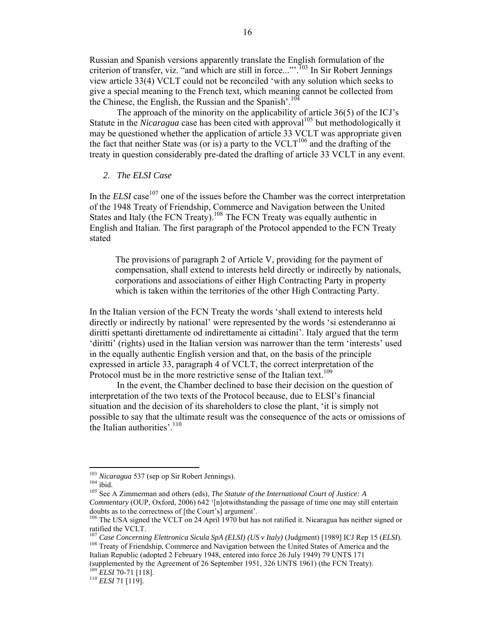Russian and Spanish versions apparently translate the English formulation of the criterion of transfer, viz. "and which are still in force..."'.<sup>103</sup> In Sir Robert Jennings view article 33(4) VCLT could not be reconciled 'with any solution which seeks to give a special meaning to the French text, which meaning cannot be collected from the Chinese, the English, the Russian and the Spanish'.<sup>104</sup>

The approach of the minority on the applicability of article 36(5) of the ICJ's Statute in the *Nicaragua* case has been cited with approval<sup>105</sup> but methodologically it may be questioned whether the application of article 33 VCLT was appropriate given the fact that neither State was (or is) a party to the  $VCLT^{106}$  and the drafting of the treaty in question considerably pre-dated the drafting of article 33 VCLT in any event.

#### *2. The ELSI Case*

In the *ELSI* case<sup>107</sup> one of the issues before the Chamber was the correct interpretation of the 1948 Treaty of Friendship, Commerce and Navigation between the United States and Italy (the FCN Treaty).<sup>108</sup> The FCN Treaty was equally authentic in English and Italian. The first paragraph of the Protocol appended to the FCN Treaty stated

The provisions of paragraph 2 of Article V, providing for the payment of compensation, shall extend to interests held directly or indirectly by nationals, corporations and associations of either High Contracting Party in property which is taken within the territories of the other High Contracting Party.

In the Italian version of the FCN Treaty the words 'shall extend to interests held directly or indirectly by national' were represented by the words 'si estenderanno ai diritti spettanti direttamente od indirettamente ai cittadini'. Italy argued that the term 'diritti' (rights) used in the Italian version was narrower than the term 'interests' used in the equally authentic English version and that, on the basis of the principle expressed in article 33, paragraph 4 of VCLT, the correct interpretation of the Protocol must be in the more restrictive sense of the Italian text.<sup>109</sup>

In the event, the Chamber declined to base their decision on the question of interpretation of the two texts of the Protocol because, due to ELSI's financial situation and the decision of its shareholders to close the plant, 'it is simply not possible to say that the ultimate result was the consequence of the acts or omissions of the Italian authorities'. $110$ 

<sup>&</sup>lt;sup>103</sup> Nicaragua 537 (sep op Sir Robert Jennings).

<sup>103</sup> *Nicaragua* 537 (sep op Sir Robert Jennings). <sup>104</sup> ibid. <sup>105</sup> See A Zimmerman and others (eds), *The Statute of the International Court of Justice: A Commentary* (OUP, Oxford, 2006) 642 '[n]otwithstanding the passage of time one may still entertain doubts as to the correctness of [the Court's] argument'.

<sup>&</sup>lt;sup>106</sup> The USA signed the VCLT on 24 April 1970 but has not ratified it. Nicaragua has neither signed or ratified the VCLT.<br><sup>107</sup> Case Concerning Elettronica Sicula SpA (ELSI) (US v Italy) (Judgment) [1989] ICJ Rep 15 (ELSI).

<sup>&</sup>lt;sup>108</sup> Treaty of Friendship, Commerce and Navigation between the United States of America and the

Italian Republic (adopted 2 February 1948, entered into force 26 July 1949) 79 UNTS 171

<sup>(</sup>supplemented by the Agreement of 26 September 1951, 326 UNTS 1961) (the FCN Treaty). <sup>109</sup> *ELSI* 70-71 [118]. <sup>110</sup> *ELSI* 71 [119].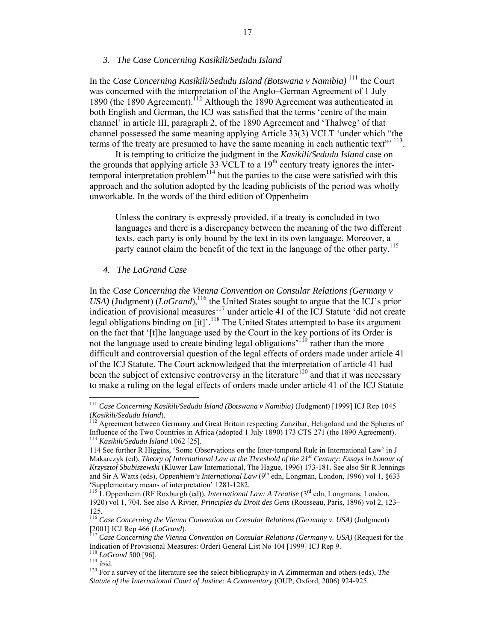#### *3. The Case Concerning Kasikili/Sedudu Island*

In the *Case Concerning Kasikili/Sedudu Island (Botswana v Namibia)* <sup>111</sup> the Court was concerned with the interpretation of the Anglo–German Agreement of 1 July 1890 (the 1890 Agreement).<sup>112</sup> Although the 1890 Agreement was authenticated in both English and German, the ICJ was satisfied that the terms 'centre of the main channel' in article III, paragraph 2, of the 1890 Agreement and 'Thalweg' of that channel possessed the same meaning applying Article 33(3) VCLT 'under which "the terms of the treaty are presumed to have the same meaning in each authentic text"<sup>113</sup>.

It is tempting to criticize the judgment in the *Kasikili/Sedudu Island* case on the grounds that applying article 33 VCLT to a  $19<sup>th</sup>$  century treaty ignores the intertemporal interpretation problem<sup>114</sup> but the parties to the case were satisfied with this approach and the solution adopted by the leading publicists of the period was wholly unworkable. In the words of the third edition of Oppenheim

Unless the contrary is expressly provided, if a treaty is concluded in two languages and there is a discrepancy between the meaning of the two different texts, each party is only bound by the text in its own language. Moreover, a party cannot claim the benefit of the text in the language of the other party.<sup>115</sup>

#### *4. The LaGrand Case*

In the *Case Concerning the Vienna Convention on Consular Relations (Germany v USA*) (Judgment) (*LaGrand*),<sup>116</sup> the United States sought to argue that the ICJ's prior indication of provisional measures<sup>117</sup> under article 41 of the ICJ Statute 'did not create legal obligations binding on  $\left[ it \right]$ <sup>'. 118</sup> The United States attempted to base its argument on the fact that '[t]he language used by the Court in the key portions of its Order is not the language used to create binding legal obligations<sup>'119</sup> rather than the more difficult and controversial question of the legal effects of orders made under article 41 of the ICJ Statute. The Court acknowledged that the interpretation of article 41 had been the subject of extensive controversy in the literature<sup>120</sup> and that it was necessary to make a ruling on the legal effects of orders made under article 41 of the ICJ Statute

<sup>111</sup> *Case Concerning Kasikili/Sedudu Island (Botswana v Namibia)* (Judgment) [1999] ICJ Rep 1045 (*Kasikili/Sedudu Island*). <sup>112</sup> Agreement between Germany and Great Britain respecting Zanzibar, Heligoland and the Spheres of

Influence of the Two Countries in Africa (adopted 1 July 1890) 173 CTS 271 (the 1890 Agreement). <sup>113</sup> *Kasikili/Sedudu Island* 1062 [25].

<sup>114</sup> See further R Higgins, 'Some Observations on the Inter-temporal Rule in International Law' in J Makarczyk (ed), *Theory of International Law at the Threshold of the 21st Century: Essays in honour of Krzysztof Sbubiszewski* (Kluwer Law International, The Hague, 1996) 173-181. See also Sir R Jennings and Sir A Watts (eds), *Oppenhiem's International Law* (9<sup>th</sup> edn, Longman, London, 1996) vol 1, §633 'Supplementary means of interpretation' 1281-1282.

<sup>&</sup>lt;sup>115</sup> L Oppenheim (RF Roxburgh (ed)), *International Law: A Treatise* (3<sup>rd</sup> edn, Longmans, London, 1920) vol 1, 704. See also A Rivier, *Principles du Droit des Gens* (Rousseau, Paris, 1896) vol 2, 123– 125.

<sup>116</sup> *Case Concerning the Vienna Convention on Consular Relations (Germany v. USA)* (Judgment) [2001] ICJ Rep 466 (*LaGrand*). <sup>117</sup> *Case Concerning the Vienna Convention on Consular Relations (Germany v. USA)* (Request for the

Indication of Provisional Measures: Order) General List No 104 [1999] ICJ Rep 9.<br><sup>118</sup> *LaGrand* 500 [96].<br><sup>119</sup> ibid.

<sup>&</sup>lt;sup>120</sup> For a survey of the literature see the select bibliography in A Zimmerman and others (eds), *The Statute of the International Court of Justice: A Commentary* (OUP, Oxford, 2006) 924-925.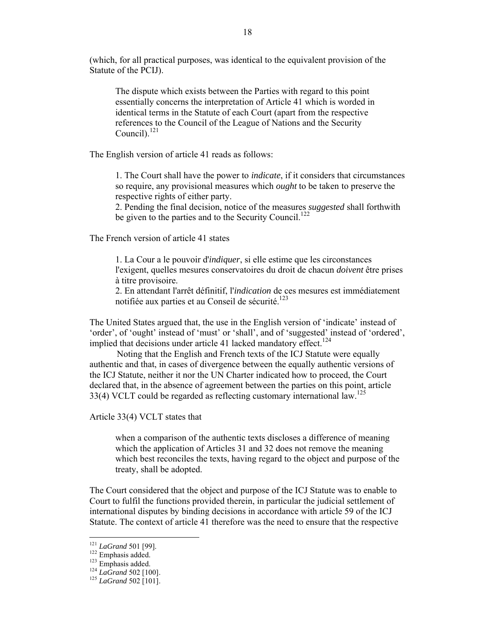(which, for all practical purposes, was identical to the equivalent provision of the Statute of the PCIJ).

The dispute which exists between the Parties with regard to this point essentially concerns the interpretation of Article 41 which is worded in identical terms in the Statute of each Court (apart from the respective references to the Council of the League of Nations and the Security Council). $^{121}$ 

The English version of article 41 reads as follows:

1. The Court shall have the power to *indicate*, if it considers that circumstances so require, any provisional measures which *ought* to be taken to preserve the respective rights of either party.

2. Pending the final decision, notice of the measures *suggested* shall forthwith be given to the parties and to the Security Council.<sup>122</sup>

The French version of article 41 states

1. La Cour a le pouvoir d'*indiquer*, si elle estime que les circonstances l'exigent, quelles mesures conservatoires du droit de chacun *doivent* être prises à titre provisoire.

2. En attendant l'arrêt définitif, l'*indication* de ces mesures est immédiatement notifiée aux parties et au Conseil de sécurité.<sup>123</sup>

The United States argued that, the use in the English version of 'indicate' instead of 'order', of 'ought' instead of 'must' or 'shall', and of 'suggested' instead of 'ordered', implied that decisions under article 41 lacked mandatory effect.<sup>124</sup>

Noting that the English and French texts of the ICJ Statute were equally authentic and that, in cases of divergence between the equally authentic versions of the ICJ Statute, neither it nor the UN Charter indicated how to proceed, the Court declared that, in the absence of agreement between the parties on this point, article 33(4) VCLT could be regarded as reflecting customary international law.<sup>125</sup>

Article 33(4) VCLT states that

when a comparison of the authentic texts discloses a difference of meaning which the application of Articles 31 and 32 does not remove the meaning which best reconciles the texts, having regard to the object and purpose of the treaty, shall be adopted.

The Court considered that the object and purpose of the ICJ Statute was to enable to Court to fulfil the functions provided therein, in particular the judicial settlement of international disputes by binding decisions in accordance with article 59 of the ICJ Statute. The context of article 41 therefore was the need to ensure that the respective

 $121$  LaGrand 501 [99].

<sup>122</sup> Emphasis added.<br>
<sup>123</sup> Emphasis added.<br>
<sup>124</sup> *LaGrand* 502 [100].<br>
<sup>125</sup> *LaGrand* 502 [101].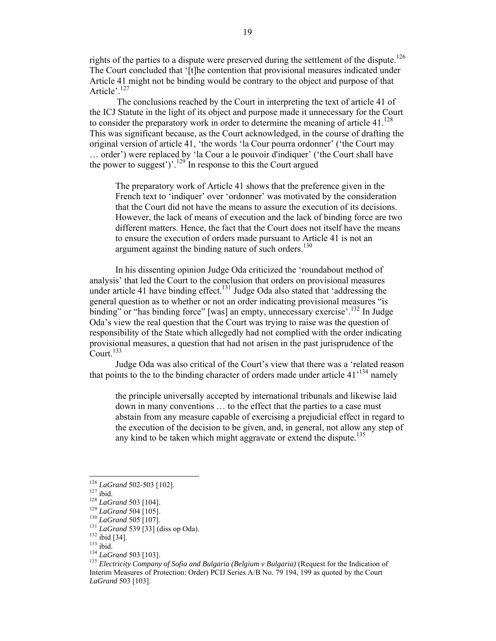rights of the parties to a dispute were preserved during the settlement of the dispute.<sup>126</sup> The Court concluded that '[t]he contention that provisional measures indicated under Article 41 might not be binding would be contrary to the object and purpose of that Article'.<sup>127</sup>

The conclusions reached by the Court in interpreting the text of article 41 of the ICJ Statute in the light of its object and purpose made it unnecessary for the Court to consider the preparatory work in order to determine the meaning of article 41. $^{128}$ This was significant because, as the Court acknowledged, in the course of drafting the original version of article 41, 'the words 'la Cour pourra ordonner' ('the Court may … order') were replaced by 'la Cour a le pouvoir d'indiquer' ('the Court shall have the power to suggest')'.<sup>129</sup> In response to this the Court argued

The preparatory work of Article 41 shows that the preference given in the French text to 'indiquer' over 'ordonner' was motivated by the consideration that the Court did not have the means to assure the execution of its decisions. However, the lack of means of execution and the lack of binding force are two different matters. Hence, the fact that the Court does not itself have the means to ensure the execution of orders made pursuant to Article 41 is not an argument against the binding nature of such orders.<sup>130</sup>

In his dissenting opinion Judge Oda criticized the 'roundabout method of analysis' that led the Court to the conclusion that orders on provisional measures under article 41 have binding effect.<sup>131</sup> Judge Oda also stated that 'addressing the general question as to whether or not an order indicating provisional measures "is binding" or "has binding force" [was] an empty, unnecessary exercise'.<sup>132</sup> In Judge Oda's view the real question that the Court was trying to raise was the question of responsibility of the State which allegedly had not complied with the order indicating provisional measures, a question that had not arisen in the past jurisprudence of the Court.<sup>133</sup>

Judge Oda was also critical of the Court's view that there was a 'related reason that points to the to the binding character of orders made under article  $41^{134}$  namely

the principle universally accepted by international tribunals and likewise laid down in many conventions … to the effect that the parties to a case must abstain from any measure capable of exercising a prejudicial effect in regard to the execution of the decision to be given, and, in general, not allow any step of any kind to be taken which might aggravate or extend the dispute.<sup>135</sup>

<sup>&</sup>lt;sup>126</sup> LaGrand 502-503 [102].

<sup>127</sup> ibid.<br>
128 LaGrand 503 [104].<br>
129 LaGrand 503 [104].<br>
131 LaGrand 505 [107].<br>
131 LaGrand 539 [33] (diss op Oda).<br>
132 ibid [34].<br>
133 ibid.<br>
134 LaGrand 503 [103].<br>
135 Electricity Company of Sofia and Bulgaria (Bel Interim Measures of Protection: Order) PCIJ Series A/B No. 79 194, 199 as quoted by the Court *LaGrand* 503 [103].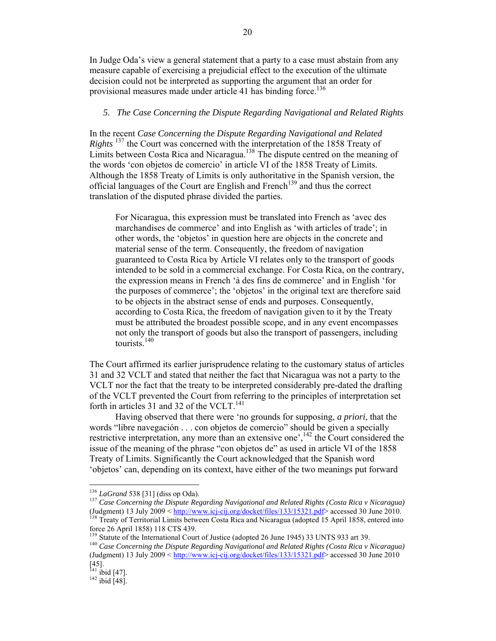In Judge Oda's view a general statement that a party to a case must abstain from any measure capable of exercising a prejudicial effect to the execution of the ultimate decision could not be interpreted as supporting the argument that an order for provisional measures made under article 41 has binding force.<sup>136</sup>

## *5. The Case Concerning the Dispute Regarding Navigational and Related Rights*

In the recent *Case Concerning the Dispute Regarding Navigational and Related Rights* <sup>137</sup> the Court was concerned with the interpretation of the 1858 Treaty of Limits between Costa Rica and Nicaragua.<sup>138</sup> The dispute centred on the meaning of the words 'con objetos de comercio' in article VI of the 1858 Treaty of Limits. Although the 1858 Treaty of Limits is only authoritative in the Spanish version, the official languages of the Court are English and French<sup>139</sup> and thus the correct translation of the disputed phrase divided the parties.

For Nicaragua, this expression must be translated into French as 'avec des marchandises de commerce' and into English as 'with articles of trade'; in other words, the 'objetos' in question here are objects in the concrete and material sense of the term. Consequently, the freedom of navigation guaranteed to Costa Rica by Article VI relates only to the transport of goods intended to be sold in a commercial exchange. For Costa Rica, on the contrary, the expression means in French 'à des fins de commerce' and in English 'for the purposes of commerce'; the 'objetos' in the original text are therefore said to be objects in the abstract sense of ends and purposes. Consequently, according to Costa Rica, the freedom of navigation given to it by the Treaty must be attributed the broadest possible scope, and in any event encompasses not only the transport of goods but also the transport of passengers, including tourists.<sup>140</sup>

The Court affirmed its earlier jurisprudence relating to the customary status of articles 31 and 32 VCLT and stated that neither the fact that Nicaragua was not a party to the VCLT nor the fact that the treaty to be interpreted considerably pre-dated the drafting of the VCLT prevented the Court from referring to the principles of interpretation set forth in articles 31 and 32 of the VCLT. $^{141}$ 

Having observed that there were 'no grounds for supposing, *a priori*, that the words "libre navegación . . . con objetos de comercio" should be given a specially restrictive interpretation, any more than an extensive one',<sup>142</sup> the Court considered the issue of the meaning of the phrase "con objetos de" as used in article VI of the 1858 Treaty of Limits. Significantly the Court acknowledged that the Spanish word 'objetos' can, depending on its context, have either of the two meanings put forward

<sup>&</sup>lt;sup>136</sup> *LaGrand* 538 [31] (diss op Oda).<br><sup>137</sup> Case Concerning the Dispute Regarding Navigational and Related Rights (Costa Rica v Nicaragua) (Judgment) 13 July 2009 <  $\frac{http://www.ici-ci.org/docket/files/133/15321.pdf}{http://www.ici-ci.org/docket/files/133/15321.pdf}$  accessed 30 June 2010.

force 26 April 1858) 118 CTS 439.

<sup>&</sup>lt;sup>139</sup> Statute of the International Court of Justice (adopted 26 June 1945) 33 UNTS 933 art 39.<br><sup>140</sup> *Case Concerning the Dispute Regarding Navigational and Related Rights (Costa Rica v Nicaragua)* (Judgment) 13 July 2009 < http://www.icj-cij.org/docket/files/133/15321.pdf> accessed 30 June 2010  $[45]$ .<br><sup>141</sup> ibid [47].

 $142$  ibid [48].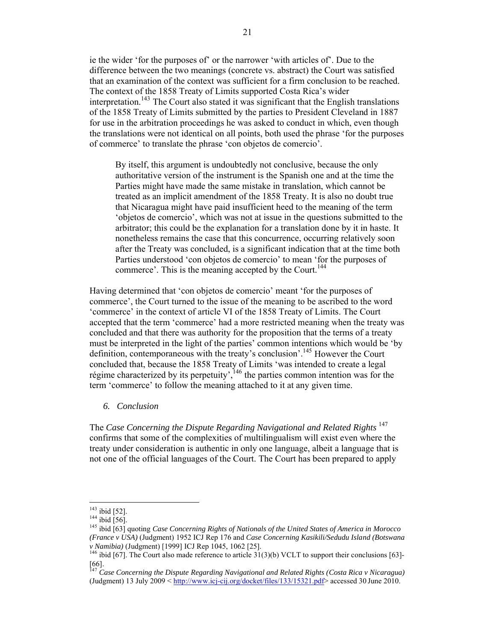ie the wider 'for the purposes of' or the narrower 'with articles of'. Due to the difference between the two meanings (concrete vs. abstract) the Court was satisfied that an examination of the context was sufficient for a firm conclusion to be reached. The context of the 1858 Treaty of Limits supported Costa Rica's wider interpretation.<sup>143</sup> The Court also stated it was significant that the English translations of the 1858 Treaty of Limits submitted by the parties to President Cleveland in 1887 for use in the arbitration proceedings he was asked to conduct in which, even though the translations were not identical on all points, both used the phrase 'for the purposes of commerce' to translate the phrase 'con objetos de comercio'.

By itself, this argument is undoubtedly not conclusive, because the only authoritative version of the instrument is the Spanish one and at the time the Parties might have made the same mistake in translation, which cannot be treated as an implicit amendment of the 1858 Treaty. It is also no doubt true that Nicaragua might have paid insufficient heed to the meaning of the term 'objetos de comercio', which was not at issue in the questions submitted to the arbitrator; this could be the explanation for a translation done by it in haste. It nonetheless remains the case that this concurrence, occurring relatively soon after the Treaty was concluded, is a significant indication that at the time both Parties understood 'con objetos de comercio' to mean 'for the purposes of commerce'. This is the meaning accepted by the Court.<sup>144</sup>

Having determined that 'con objetos de comercio' meant 'for the purposes of commerce', the Court turned to the issue of the meaning to be ascribed to the word 'commerce' in the context of article VI of the 1858 Treaty of Limits. The Court accepted that the term 'commerce' had a more restricted meaning when the treaty was concluded and that there was authority for the proposition that the terms of a treaty must be interpreted in the light of the parties' common intentions which would be 'by definition, contemporaneous with the treaty's conclusion'.<sup>145</sup> However the Court concluded that, because the 1858 Treaty of Limits 'was intended to create a legal régime characterized by its perpetuity',  $146$  the parties common intention was for the term 'commerce' to follow the meaning attached to it at any given time.

## *6. Conclusion*

The *Case Concerning the Dispute Regarding Navigational and Related Rights* <sup>147</sup> confirms that some of the complexities of multilingualism will exist even where the treaty under consideration is authentic in only one language, albeit a language that is not one of the official languages of the Court. The Court has been prepared to apply

 $143$  ibid [52].

<sup>143</sup> ibid [52]. <sup>144</sup> ibid [56]. <sup>145</sup> ibid [63] quoting *Case Concerning Rights of Nationals of the United States of America in Morocco (France v USA)* (Judgment) 1952 ICJ Rep 176 and *Case Concerning Kasikili/Sedudu Island (Botswana v Namibia*) (Judgment) [1999] ICJ Rep 1045, 1062 [25].<br><sup>146</sup> ibid [67]. The Court also made reference to article 31(3)(b) VCLT to support their conclusions [63]-

 $[66]$ .

<sup>147</sup> *Case Concerning the Dispute Regarding Navigational and Related Rights (Costa Rica v Nicaragua)* (Judgment) 13 July 2009 < http://www.icj-cij.org/docket/files/133/15321.pdf> accessed 30 June 2010.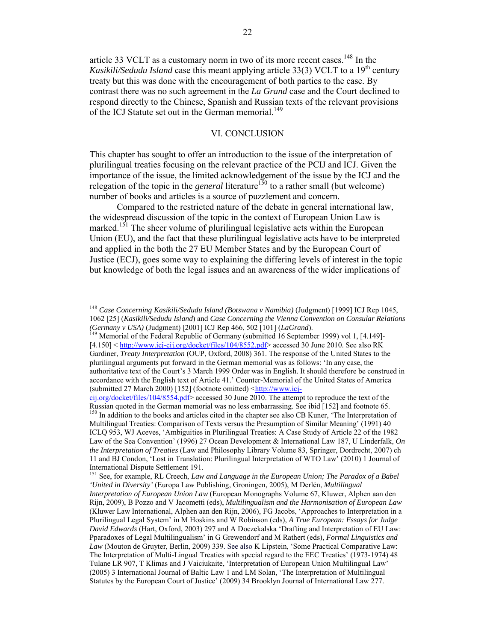article 33 VCLT as a customary norm in two of its more recent cases.<sup>148</sup> In the *Kasikili/Sedudu Island* case this meant applying article 33(3) VCLT to a 19<sup>th</sup> century treaty but this was done with the encouragement of both parties to the case. By contrast there was no such agreement in the *La Grand* case and the Court declined to respond directly to the Chinese, Spanish and Russian texts of the relevant provisions of the ICJ Statute set out in the German memorial.<sup>149</sup>

# VI. CONCLUSION

This chapter has sought to offer an introduction to the issue of the interpretation of plurilingual treaties focusing on the relevant practice of the PCIJ and ICJ. Given the importance of the issue, the limited acknowledgement of the issue by the ICJ and the relegation of the topic in the *general* literature<sup>150</sup> to a rather small (but welcome) number of books and articles is a source of puzzlement and concern.

Compared to the restricted nature of the debate in general international law, the widespread discussion of the topic in the context of European Union Law is marked.<sup>151</sup> The sheer volume of plurilingual legislative acts within the European Union (EU), and the fact that these plurilingual legislative acts have to be interpreted and applied in the both the 27 EU Member States and by the European Court of Justice (ECJ), goes some way to explaining the differing levels of interest in the topic but knowledge of both the legal issues and an awareness of the wider implications of

<sup>148</sup> *Case Concerning Kasikili/Sedudu Island (Botswana v Namibia)* (Judgment) [1999] ICJ Rep 1045, 1062 [25] (*Kasikili/Sedudu Island*) and *Case Concerning the Vienna Convention on Consular Relations (Germany v USA)* (Judgment) [2001] ICJ Rep 466, 502 [101] *(LaGrand)*.<br><sup>149</sup> Memorial of the Federal Republic of Germany (submitted 16 September 1999) vol 1, [4.149]-

 $[4.150]$  < http://www.icj-cij.org/docket/files/104/8552.pdf> accessed 30 June 2010. See also RK Gardiner, *Treaty Interpretation* (OUP, Oxford, 2008) 361. The response of the United States to the plurilingual arguments put forward in the German memorial was as follows: 'In any case, the authoritative text of the Court's 3 March 1999 Order was in English. It should therefore be construed in accordance with the English text of Article 41.' Counter-Memorial of the United States of America (submitted 27 March 2000) [152] (footnote omitted)  $\frac{\text{http://www.ici-}}{\text{http://www.ici-}}$ 

cij.org/docket/files/104/8554.pdf> accessed 30 June 2010. The attempt to reproduce the text of the Russian quoted in the German memorial was no less embarrassing. See ibid [152] and footnote 65.

<sup>&</sup>lt;sup>150</sup> In addition to the books and articles cited in the chapter see also CB Kuner, 'The Interpretation of Multilingual Treaties: Comparison of Texts versus the Presumption of Similar Meaning' (1991) 40 ICLQ 953, WJ Aceves, 'Ambiguities in Plurilingual Treaties: A Case Study of Article 22 of the 1982 Law of the Sea Convention' (1996) 27 Ocean Development & International Law 187, U Linderfalk, *On the Interpretation of Treaties* (Law and Philosophy Library Volume 83, Springer, Dordrecht, 2007) ch 11 and BJ Condon, 'Lost in Translation: Plurilingual Interpretation of WTO Law' (2010) 1 Journal of International Dispute Settlement 191.

<sup>151</sup> See, for example, RL Creech, *Law and Language in the European Union; The Paradox of a Babel 'United in Diversity'* (Europa Law Publishing, Groningen, 2005), M Derlén, *Multilingual Interpretation of European Union Law* (European Monographs Volume 67, Kluwer, Alphen aan den

Rijn, 2009), B Pozzo and V Jacometti (eds), *Multilingualism and the Harmonisation of European Law* (Kluwer Law International, Alphen aan den Rijn, 2006), FG Jacobs, 'Approaches to Interpretation in a Plurilingual Legal System' in M Hoskins and W Robinson (eds), *A True European: Essays for Judge David Edwards* (Hart, Oxford, 2003) 297 and A Doczekalska 'Drafting and Interpretation of EU Law: Pparadoxes of Legal Multilingualism' in G Grewendorf and M Rathert (eds), *Formal Linguistics and Law* (Mouton de Gruyter, Berlin, 2009) 339. See also K Lipstein, 'Some Practical Comparative Law: The Interpretation of Multi-Lingual Treaties with special regard to the EEC Treaties' (1973-1974) 48 Tulane LR 907, T Klimas and J Vaiciukaite, 'Interpretation of European Union Multilingual Law' (2005) 3 International Journal of Baltic Law 1 and LM Solan, 'The Interpretation of Multilingual Statutes by the European Court of Justice' (2009) 34 Brooklyn Journal of International Law 277.